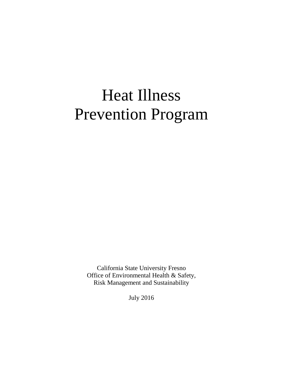# Heat Illness Prevention Program

California State University Fresno Office of Environmental Health & Safety, Risk Management and Sustainability

July 2016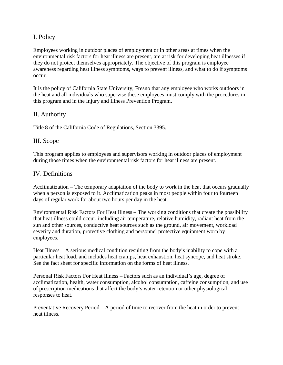# I. Policy

Employees working in outdoor places of employment or in other areas at times when the environmental risk factors for heat illness are present, are at risk for developing heat illnesses if they do not protect themselves appropriately. The objective of this program is employee awareness regarding heat illness symptoms, ways to prevent illness, and what to do if symptoms occur.

It is the policy of California State University, Fresno that any employee who works outdoors in the heat and all individuals who supervise these employees must comply with the procedures in this program and in the Injury and Illness Prevention Program.

## II. Authority

Title 8 of the California Code of Regulations, Section 3395.

## III. Scope

This program applies to employees and supervisors working in outdoor places of employment during those times when the environmental risk factors for heat illness are present.

## IV. Definitions

Acclimatization – The temporary adaptation of the body to work in the heat that occurs gradually when a person is exposed to it. Acclimatization peaks in most people within four to fourteen days of regular work for about two hours per day in the heat.

Environmental Risk Factors For Heat Illness – The working conditions that create the possibility that heat illness could occur, including air temperature, relative humidity, radiant heat from the sun and other sources, conductive heat sources such as the ground, air movement, workload severity and duration, protective clothing and personnel protective equipment worn by employees.

Heat Illness – A serious medical condition resulting from the body's inability to cope with a particular heat load, and includes heat cramps, heat exhaustion, heat syncope, and heat stroke. See the fact sheet for specific information on the forms of heat illness.

Personal Risk Factors For Heat Illness – Factors such as an individual's age, degree of acclimatization, health, water consumption, alcohol consumption, caffeine consumption, and use of prescription medications that affect the body's water retention or other physiological responses to heat.

Preventative Recovery Period – A period of time to recover from the heat in order to prevent heat illness.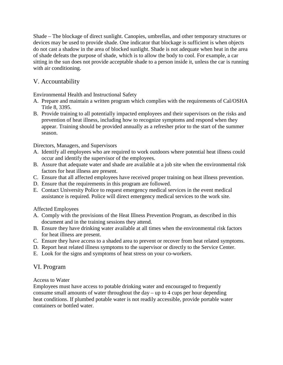Shade – The blockage of direct sunlight. Canopies, umbrellas, and other temporary structures or devices may be used to provide shade. One indicator that blockage is sufficient is when objects do not cast a shadow in the area of blocked sunlight. Shade is not adequate when heat in the area of shade defeats the purpose of shade, which is to allow the body to cool. For example, a car sitting in the sun does not provide acceptable shade to a person inside it, unless the car is running with air conditioning.

# V. Accountability

Environmental Health and Instructional Safety

- A. Prepare and maintain a written program which complies with the requirements of Cal/OSHA Title 8, 3395.
- B. Provide training to all potentially impacted employees and their supervisors on the risks and prevention of heat illness, including how to recognize symptoms and respond when they appear. Training should be provided annually as a refresher prior to the start of the summer season.

Directors, Managers, and Supervisors

- A. Identify all employees who are required to work outdoors where potential heat illness could occur and identify the supervisor of the employees.
- B. Assure that adequate water and shade are available at a job site when the environmental risk factors for heat illness are present.
- C. Ensure that all affected employees have received proper training on heat illness prevention.
- D. Ensure that the requirements in this program are followed.
- E. Contact University Police to request emergency medical services in the event medical assistance is required. Police will direct emergency medical services to the work site.

Affected Employees

- A. Comply with the provisions of the Heat Illness Prevention Program, as described in this document and in the training sessions they attend.
- B. Ensure they have drinking water available at all times when the environmental risk factors for heat illness are present.
- C. Ensure they have access to a shaded area to prevent or recover from heat related symptoms.
- D. Report heat related illness symptoms to the supervisor or directly to the Service Center.
- E. Look for the signs and symptoms of heat stress on your co-workers.

# VI. Program

Access to Water

Employees must have access to potable drinking water and encouraged to frequently consume small amounts of water throughout the day – up to 4 cups per hour depending heat conditions. If plumbed potable water is not readily accessible, provide portable water containers or bottled water.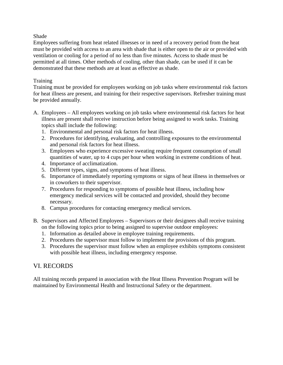#### Shade

Employees suffering from heat related illnesses or in need of a recovery period from the heat must be provided with access to an area with shade that is either open to the air or provided with ventilation or cooling for a period of no less than five minutes. Access to shade must be permitted at all times. Other methods of cooling, other than shade, can be used if it can be demonstrated that these methods are at least as effective as shade.

#### **Training**

Training must be provided for employees working on job tasks where environmental risk factors for heat illness are present, and training for their respective supervisors. Refresher training must be provided annually.

- A. Employees All employees working on job tasks where environmental risk factors for heat illness are present shall receive instruction before being assigned to work tasks. Training topics shall include the following:
	- 1. Environmental and personal risk factors for heat illness.
	- 2. Procedures for identifying, evaluating, and controlling exposures to the environmental and personal risk factors for heat illness.
	- 3. Employees who experience excessive sweating require frequent consumption of small quantities of water, up to 4 cups per hour when working in extreme conditions of heat.
	- 4. Importance of acclimatization.
	- 5. Different types, signs, and symptoms of heat illness.
	- 6. Importance of immediately reporting symptoms or signs of heat illness in themselves or in coworkers to their supervisor.
	- 7. Procedures for responding to symptoms of possible heat illness, including how emergency medical services will be contacted and provided, should they become necessary.
	- 8. Campus procedures for contacting emergency medical services.
- B. Supervisors and Affected Employees Supervisors or their designees shall receive training on the following topics prior to being assigned to supervise outdoor employees:
	- 1. Information as detailed above in employee training requirements.
	- 2. Procedures the supervisor must follow to implement the provisions of this program.
	- 3. Procedures the supervisor must follow when an employee exhibits symptoms consistent with possible heat illness, including emergency response.

# VI. RECORDS

All training records prepared in association with the Heat Illness Prevention Program will be maintained by Environmental Health and Instructional Safety or the department.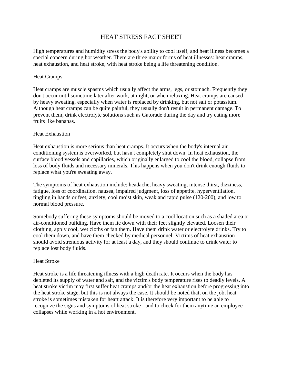# HEAT STRESS FACT SHEET

High temperatures and humidity stress the body's ability to cool itself, and heat illness becomes a special concern during hot weather. There are three major forms of heat illnesses: heat cramps, heat exhaustion, and heat stroke, with heat stroke being a life threatening condition.

#### Heat Cramps

Heat cramps are muscle spasms which usually affect the arms, legs, or stomach. Frequently they don't occur until sometime later after work, at night, or when relaxing. Heat cramps are caused by heavy sweating, especially when water is replaced by drinking, but not salt or potassium. Although heat cramps can be quite painful, they usually don't result in permanent damage. To prevent them, drink electrolyte solutions such as Gatorade during the day and try eating more fruits like bananas.

#### Heat Exhaustion

Heat exhaustion is more serious than heat cramps. It occurs when the body's internal air conditioning system is overworked, but hasn't completely shut down. In heat exhaustion, the surface blood vessels and capillaries, which originally enlarged to cool the blood, collapse from loss of body fluids and necessary minerals. This happens when you don't drink enough fluids to replace what you're sweating away.

The symptoms of heat exhaustion include: headache, heavy sweating, intense thirst, dizziness, fatigue, loss of coordination, nausea, impaired judgment, loss of appetite, hyperventilation, tingling in hands or feet, anxiety, cool moist skin, weak and rapid pulse (120-200), and low to normal blood pressure.

Somebody suffering these symptoms should be moved to a cool location such as a shaded area or air-conditioned building. Have them lie down with their feet slightly elevated. Loosen their clothing, apply cool, wet cloths or fan them. Have them drink water or electrolyte drinks. Try to cool them down, and have them checked by medical personnel. Victims of heat exhaustion should avoid strenuous activity for at least a day, and they should continue to drink water to replace lost body fluids.

#### Heat Stroke

Heat stroke is a life threatening illness with a high death rate. It occurs when the body has depleted its supply of water and salt, and the victim's body temperature rises to deadly levels. A heat stroke victim may first suffer heat cramps and/or the heat exhaustion before progressing into the heat stroke stage, but this is not always the case. It should be noted that, on the job, heat stroke is sometimes mistaken for heart attack. It is therefore very important to be able to recognize the signs and symptoms of heat stroke - and to check for them anytime an employee collapses while working in a hot environment.